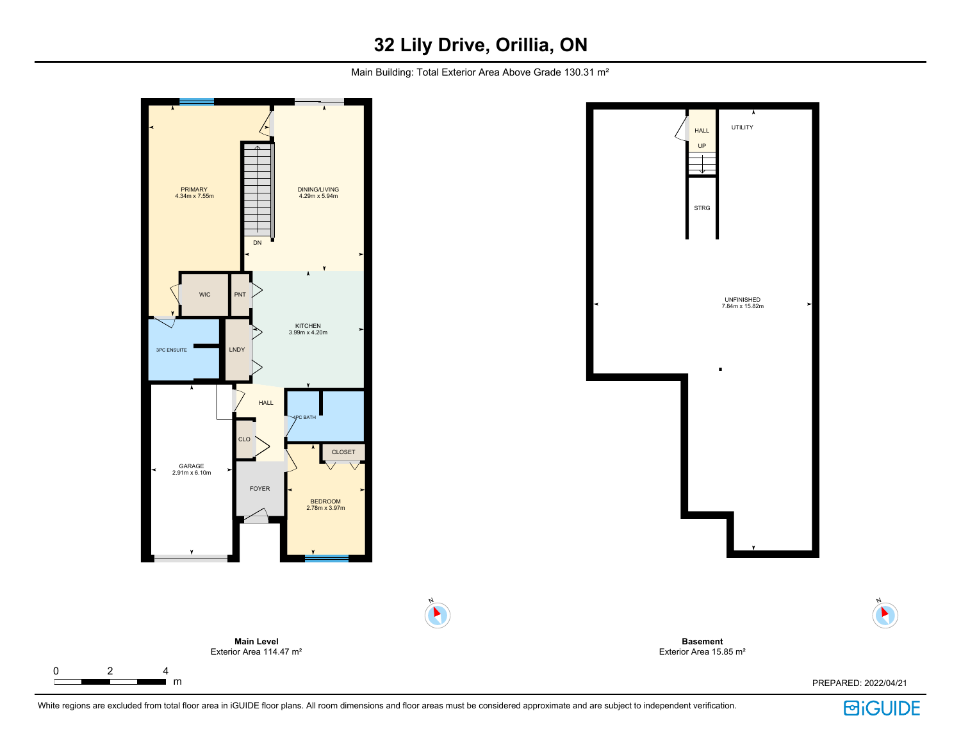## **32 Lily Drive, Orillia, ON**

Main Building: Total Exterior Area Above Grade 130.31 m<sup>2</sup>



White regions are excluded from total floor area in iGUIDE floor plans. All room dimensions and floor areas must be considered approximate and are subject to independent verification.

**BiGUIDE** 

N

 $\blacktriangleright$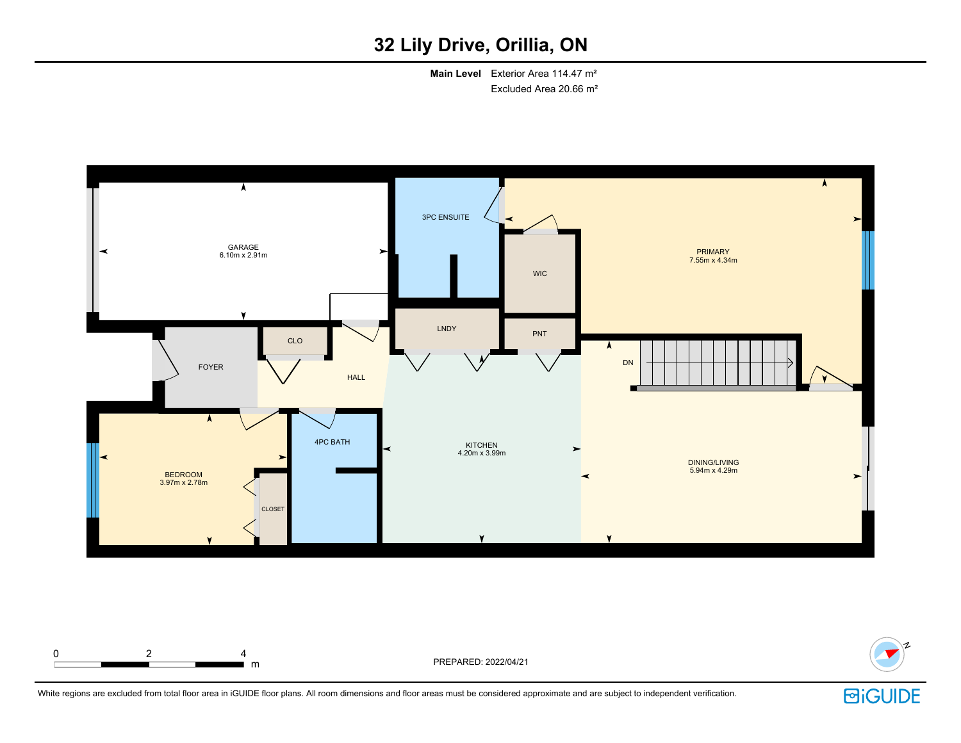## **32 Lily Drive, Orillia, ON**

**Main Level** Exterior Area 114.47 m² Excluded Area 20.66 m²